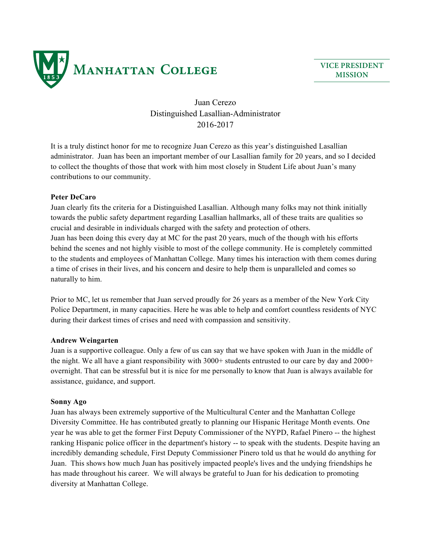

**VICE PRESIDENT MISSION**

# Juan Cerezo Distinguished Lasallian-Administrator 2016-2017

It is a truly distinct honor for me to recognize Juan Cerezo as this year's distinguished Lasallian administrator. Juan has been an important member of our Lasallian family for 20 years, and so I decided to collect the thoughts of those that work with him most closely in Student Life about Juan's many contributions to our community.

# **Peter DeCaro**

Juan clearly fits the criteria for a Distinguished Lasallian. Although many folks may not think initially towards the public safety department regarding Lasallian hallmarks, all of these traits are qualities so crucial and desirable in individuals charged with the safety and protection of others. Juan has been doing this every day at MC for the past 20 years, much of the though with his efforts behind the scenes and not highly visible to most of the college community. He is completely committed to the students and employees of Manhattan College. Many times his interaction with them comes during a time of crises in their lives, and his concern and desire to help them is unparalleled and comes so naturally to him.

Prior to MC, let us remember that Juan served proudly for 26 years as a member of the New York City Police Department, in many capacities. Here he was able to help and comfort countless residents of NYC during their darkest times of crises and need with compassion and sensitivity.

## **Andrew Weingarten**

Juan is a supportive colleague. Only a few of us can say that we have spoken with Juan in the middle of the night. We all have a giant responsibility with 3000+ students entrusted to our care by day and 2000+ overnight. That can be stressful but it is nice for me personally to know that Juan is always available for assistance, guidance, and support.

## **Sonny Ago**

Juan has always been extremely supportive of the Multicultural Center and the Manhattan College Diversity Committee. He has contributed greatly to planning our Hispanic Heritage Month events. One year he was able to get the former First Deputy Commissioner of the NYPD, Rafael Pinero -- the highest ranking Hispanic police officer in the department's history -- to speak with the students. Despite having an incredibly demanding schedule, First Deputy Commissioner Pinero told us that he would do anything for Juan. This shows how much Juan has positively impacted people's lives and the undying friendships he has made throughout his career. We will always be grateful to Juan for his dedication to promoting diversity at Manhattan College.